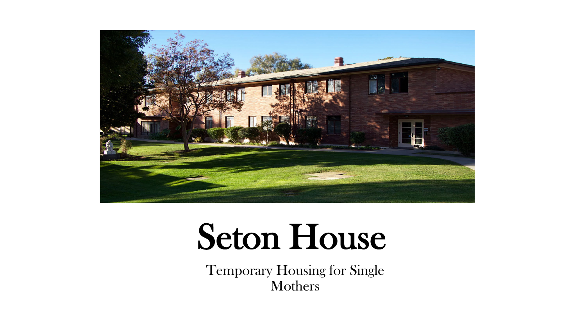

# Seton House

Temporary Housing for Single Mothers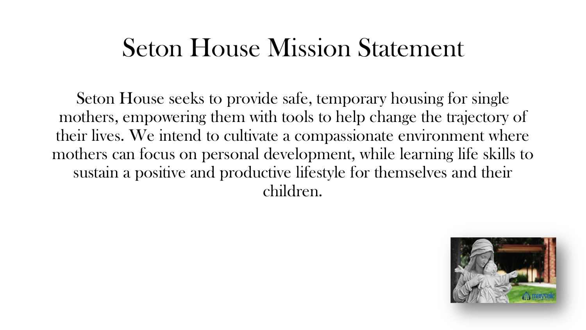#### Seton House Mission Statement

Seton House seeks to provide safe, temporary housing for single mothers, empowering them with tools to help change the trajectory of their lives. We intend to cultivate a compassionate environment where mothers can focus on personal development, while learning life skills to sustain a positive and productive lifestyle for themselves and their children.

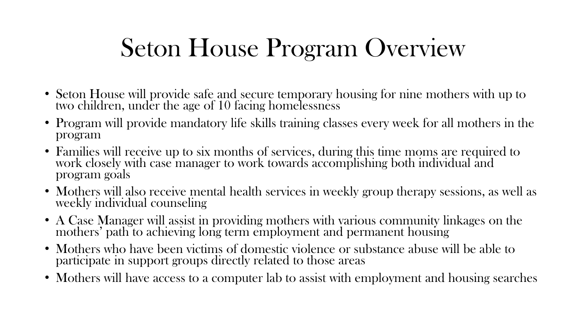## Seton House Program Overview

- Seton House will provide safe and secure temporary housing for nine mothers with up to two children, under the age of 10 facing homelessness
- Program will provide mandatory life skills training classes every week for all mothers in the program
- Families will receive up to six months of services, during this time moms are required to work closely with case manager to work towards accomplishing both individual and program goals
- Mothers will also receive mental health services in weekly group therapy sessions, as well as weekly individual counseling
- A Case Manager will assist in providing mothers with various community linkages on the mothers' path to achieving long term employment and permanent housing
- Mothers who have been victims of domestic violence or substance abuse will be able to participate in support groups directly related to those areas
- Mothers will have access to a computer lab to assist with employment and housing searches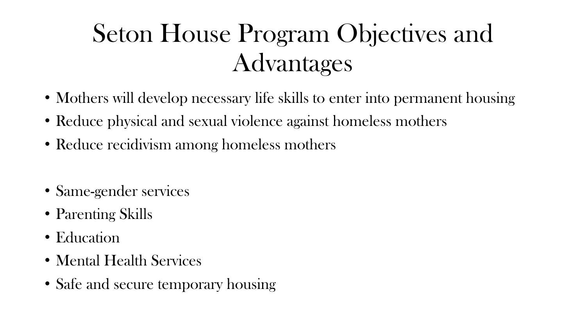## Seton House Program Objectives and Advantages

- Mothers will develop necessary life skills to enter into permanent housing
- Reduce physical and sexual violence against homeless mothers
- Reduce recidivism among homeless mothers
- Same-gender services
- Parenting Skills
- Education
- Mental Health Services
- Safe and secure temporary housing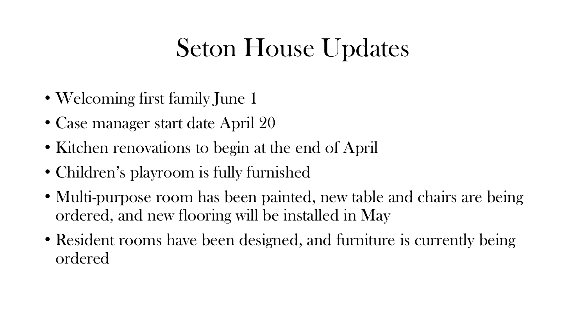## Seton House Updates

- Welcoming first family June 1
- Case manager start date April 20
- Kitchen renovations to begin at the end of April
- Children's playroom is fully furnished
- Multi-purpose room has been painted, new table and chairs are being ordered, and new flooring will be installed in May
- Resident rooms have been designed, and furniture is currently being ordered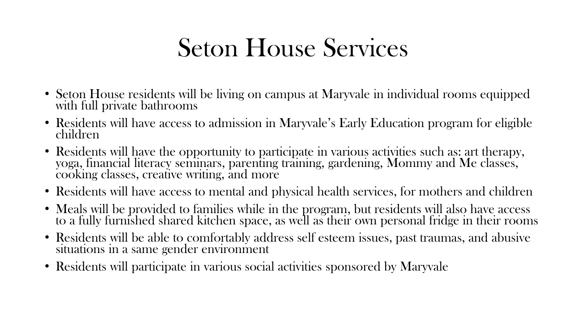### Seton House Services

- Seton House residents will be living on campus at Maryvale in individual rooms equipped with full private bathrooms
- Residents will have access to admission in Maryvale's Early Education program for eligible children
- Residents will have the opportunity to participate in various activities such as: art therapy, yoga, financial literacy seminars, parenting training, gardening, Mommy and Me classes, cooking classes, creative writing, and more
- Residents will have access to mental and physical health services, for mothers and children
- Meals will be provided to families while in the program, but residents will also have access to a fully furnished shared kitchen space, as well as their own personal fridge in their rooms
- Residents will be able to comfortably address self esteem issues, past traumas, and abusive situations in a same gender environment
- Residents will participate in various social activities sponsored by Maryvale